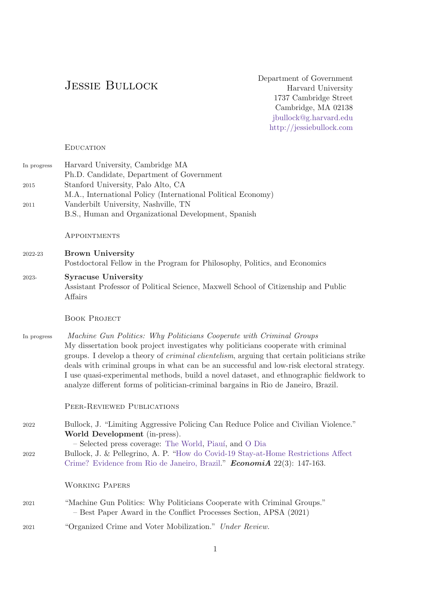# Jessie Bullock

Department of Government Harvard University 1737 Cambridge Street Cambridge, MA 02138 [jbullock@g.harvard.edu](mailto:jbullock@g.harvard.edu) <http://jessiebullock.com>

**EDUCATION** 

| In progress | Harvard University, Cambridge MA                             |
|-------------|--------------------------------------------------------------|
|             | Ph.D. Candidate, Department of Government                    |
| 2015        | Stanford University, Palo Alto, CA                           |
|             | M.A., International Policy (International Political Economy) |
| 2011        | Vanderbilt University, Nashville, TN                         |
|             | B.S., Human and Organizational Development, Spanish          |

**APPOINTMENTS** 

2022-23 Brown University Postdoctoral Fellow in the Program for Philosophy, Politics, and Economics

# 2023- Syracuse University Assistant Professor of Political Science, Maxwell School of Citizenship and Public Affairs

#### BOOK PROJECT

In progress Machine Gun Politics: Why Politicians Cooperate with Criminal Groups My dissertation book project investigates why politicians cooperate with criminal groups. I develop a theory of criminal clientelism, arguing that certain politicians strike deals with criminal groups in what can be an successful and low-risk electoral strategy. I use quasi-experimental methods, build a novel dataset, and ethnographic fieldwork to analyze different forms of politician-criminal bargains in Rio de Janeiro, Brazil.

Peer-Reviewed Publications

2022 Bullock, J. "Limiting Aggressive Policing Can Reduce Police and Civilian Violence." World Development (in-press). – Selected press coverage: [The World,](https://www.pri.org/stories/2021-05-07/war-scene-rio-residents-grieve-protest-against-deadly-police-raid) [Piau´ı,](https://piaui.folha.uol.com.br/quanto-menos-policia-mais-paz/) and [O Dia](https://odia.ig.com.br/rio-de-janeiro/2021/04/6123107-fogo-cruzado-participa-de-audiencia-sobre-operacoes-da-policia-em-favelas.html) 2022 Bullock, J. & Pellegrino, A. P. ["How do Covid-19 Stay-at-Home Restrictions Affect](https://www.sciencedirect.com/science/article/pii/S1517758021000175) [Crime? Evidence from Rio de Janeiro, Brazil.](https://www.sciencedirect.com/science/article/pii/S1517758021000175)" **EconomiA** 22(3): 147-163.

#### Working Papers

- 2021 "Machine Gun Politics: Why Politicians Cooperate with Criminal Groups." – Best Paper Award in the Conflict Processes Section, APSA (2021)
- 2021 "Organized Crime and Voter Mobilization." Under Review.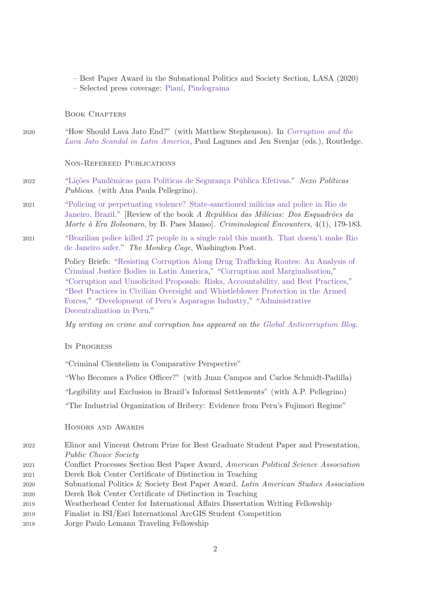- Best Paper Award in the Subnational Politics and Society Section, LASA (2020)
- Selected press coverage: [Piau´ı,](https://piaui.folha.uol.com.br/cada-crime-no-seu-quadrado/) [Pindograma](https://pindograma.com.br/2020/09/07/favelas.html)

## Book Chapters

2020 "How Should Lava Jato End?" (with Matthew Stephenson). In [Corruption and the](https://www.routledge.com/Corruption-and-the-Lava-Jato-Scandal-in-Latin-America/Lagunes-Svejnar/p/book/9780367904135) [Lava Jato Scandal in Latin America](https://www.routledge.com/Corruption-and-the-Lava-Jato-Scandal-in-Latin-America/Lagunes-Svejnar/p/book/9780367904135), Paul Lagunes and Jen Svenjar (eds.), Routledge.

### Non-Refereed Publications

- 2022 "Lições Pandêmicas para Políticas de Segurança Pública Efetivas." Nexo Políticas Publicas. (with Ana Paula Pellegrino).
- 2021 "Policing or perpetuating violence? State-sanctioned milícias and police in Rio de [Janeiro, Brazil.](https://www.crisresearchgroup.be/ojs/index.php/crimenc/article/view/114)" [Review of the book A República das Milícias: Dos Esquadrões da Morte à Era Bolsonaro, by B. Paes Manso. Criminological Encounters,  $4(1)$ , 179-183.
- 2021 ["Brazilian police killed 27 people in a single raid this month. That doesn't make Rio](https://www.washingtonpost.com/politics/2021/05/17/brazilian-police-killed-27-people-single-raid-this-month-that-doesnt-make-rio-de-janeiro-safer/) [de Janeiro safer.](https://www.washingtonpost.com/politics/2021/05/17/brazilian-police-killed-27-people-single-raid-this-month-that-doesnt-make-rio-de-janeiro-safer/)" The Monkey Cage, Washington Post.

Policy Briefs: ["Resisting Corruption Along Drug Trafficking Routes: An Analysis of](https://www.transparency.org/en/publications/resisting-corruption-along-drug-trafficking-routes-an-analysis-of-criminal-justice-bodies-in-latin-america-and-west-africa) [Criminal Justice Bodies in Latin America,](https://www.transparency.org/en/publications/resisting-corruption-along-drug-trafficking-routes-an-analysis-of-criminal-justice-bodies-in-latin-america-and-west-africa)" ["Corruption and Marginalisation,](https://knowledgehub.transparency.org/helpdesk/corruption-and-marginalisation)" ["Corruption and Unsolicited Proposals: Risks, Accountability, and Best Practices,](https://knowledgehub.transparency.org/helpdesk/corruption-and-unsolicited-proposals-risks-accountability-and-best-practices)" ["Best Practices in Civilian Oversight and Whistleblower Protection in the Armed](https://knowledgehub.transparency.org/helpdesk/best-practices-in-civilian-oversight-and-whistleblower-protection-in-the-armed-forces) [Forces,](https://knowledgehub.transparency.org/helpdesk/best-practices-in-civilian-oversight-and-whistleblower-protection-in-the-armed-forces)" ["Development of Peru's Asparagus Industry,](https://cddrl.fsi.stanford.edu/publication/development-perus-asparagus-industry)" ["Administrative](https://cddrl.fsi.stanford.edu/publication/administrative-decentralization-peru) [Decentralization in Peru.](https://cddrl.fsi.stanford.edu/publication/administrative-decentralization-peru)"

My writing on crime and corruption has appeared on the [Global Anticorruption Blog.](https://globalanticorruptionblog.com/author/jessiebullock/)

#### In Progress

"Criminal Clientelism in Comparative Perspective"

"Who Becomes a Police Officer?" (with Juan Campos and Carlos Schmidt-Padilla)

"Legibility and Exclusion in Brazil's Informal Settlements" (with A.P. Pellegrino)

"The Industrial Organization of Bribery: Evidence from Peru's Fujimori Regime"

#### Honors and Awards

- 2022 Elinor and Vincent Ostrom Prize for Best Graduate Student Paper and Presentation, Public Choice Society
- 2021 Conflict Processes Section Best Paper Award, American Political Science Association 2021 Derek Bok Center Certificate of Distinction in Teaching
- 2020 Subnational Politics & Society Best Paper Award, Latin American Studies Association 2020 Derek Bok Center Certificate of Distinction in Teaching
- 2019 Weatherhead Center for International Affairs Dissertation Writing Fellowship
- 2019 Finalist in ISI/Esri International ArcGIS Student Competition
- 2018 Jorge Paulo Lemann Traveling Fellowship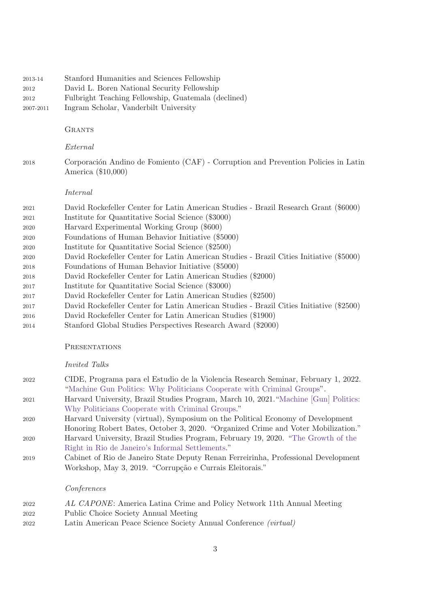| 2013-14<br>2012<br>2012<br>2007-2011 | Stanford Humanities and Sciences Fellowship<br>David L. Boren National Security Fellowship<br>Fulbright Teaching Fellowship, Guatemala (declined)<br>Ingram Scholar, Vanderbilt University |
|--------------------------------------|--------------------------------------------------------------------------------------------------------------------------------------------------------------------------------------------|
|                                      | <b>GRANTS</b>                                                                                                                                                                              |
|                                      | External                                                                                                                                                                                   |
| 2018                                 | Corporación Andino de Fomiento (CAF) - Corruption and Prevention Policies in Latin<br>America (\$10,000)                                                                                   |
|                                      | Internal                                                                                                                                                                                   |
| 2021                                 | David Rockefeller Center for Latin American Studies - Brazil Research Grant (\$6000)                                                                                                       |
| 2021                                 | Institute for Quantitative Social Science (\$3000)                                                                                                                                         |
| 2020                                 | Harvard Experimental Working Group (\$600)                                                                                                                                                 |
| 2020                                 | Foundations of Human Behavior Initiative (\$5000)                                                                                                                                          |
| 2020<br>2020                         | Institute for Quantitative Social Science (\$2500)<br>David Rockefeller Center for Latin American Studies - Brazil Cities Initiative (\$5000)                                              |
| 2018                                 | Foundations of Human Behavior Initiative (\$5000)                                                                                                                                          |
| 2018                                 | David Rockefeller Center for Latin American Studies (\$2000)                                                                                                                               |
| 2017                                 | Institute for Quantitative Social Science (\$3000)                                                                                                                                         |
| 2017                                 | David Rockefeller Center for Latin American Studies (\$2500)                                                                                                                               |
| 2017                                 | David Rockefeller Center for Latin American Studies - Brazil Cities Initiative (\$2500)                                                                                                    |
| 2016                                 | David Rockefeller Center for Latin American Studies (\$1900)                                                                                                                               |

Stanford Global Studies Perspectives Research Award (\$2000)

#### **PRESENTATIONS**

#### Invited Talks

| 2022 | CIDE, Programa para el Estudio de la Violencia Research Seminar, February 1, 2022. |
|------|------------------------------------------------------------------------------------|
|      | "Machine Gun Politics: Why Politicians Cooperate with Criminal Groups".            |

- Harvard University, Brazil Studies Program, March 10, 2021.["Machine \[Gun\] Politics:](https://drclas.harvard.edu/event/machine-gun-politics-why-politician-cooperate-criminal-groups) [Why Politicians Cooperate with Criminal Groups.](https://drclas.harvard.edu/event/machine-gun-politics-why-politician-cooperate-criminal-groups)"
- Harvard University (virtual), Symposium on the Political Economy of Development Honoring Robert Bates, October 3, 2020. "Organized Crime and Voter Mobilization." Harvard University, Brazil Studies Program, February 19, 2020. ["The Growth of the](https://drclas.harvard.edu/event/return-right-brazil-politics-and-society)
- [Right in Rio de Janeiro's Informal Settlements.](https://drclas.harvard.edu/event/return-right-brazil-politics-and-society)"
- Cabinet of Rio de Janeiro State Deputy Renan Ferreirinha, Professional Development Workshop, May 3, 2019. "Corrupção e Currais Eleitorais."

# Conferences

| 2022 | AL CAPONE: America Latina Crime and Policy Network 11th Annual Meeting |
|------|------------------------------------------------------------------------|
| 2022 | Public Choice Society Annual Meeting                                   |
| റററ  | Lotin American Doace Science Society Annual Conforance (wistual)       |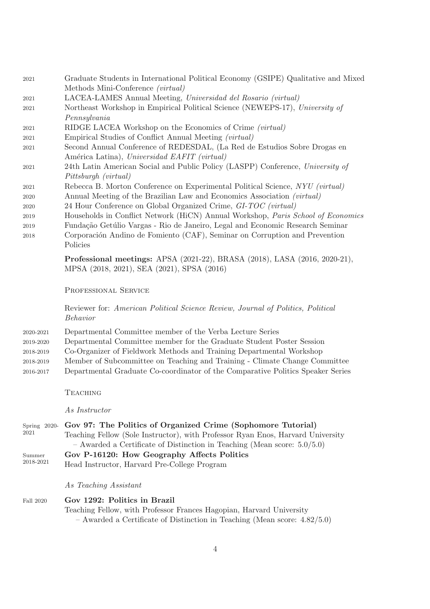| 2021 | Graduate Students in International Political Economy (GSIPE) Qualitative and Mixed |  |
|------|------------------------------------------------------------------------------------|--|
|      | Methods Mini-Conference (virtual)                                                  |  |
| 2021 | LACEA-LAMES Annual Meeting, Universidad del Rosario (virtual)                      |  |
| 2021 | Northeast Workshop in Empirical Political Science (NEWEPS-17), University of       |  |
|      | Pennsylvania                                                                       |  |
| 2021 | RIDGE LACEA Workshop on the Economics of Crime (virtual)                           |  |
| 2021 | Empirical Studies of Conflict Annual Meeting (virtual)                             |  |
| 2021 | Second Annual Conference of REDESDAL, (La Red de Estudios Sobre Drogas en          |  |
|      | América Latina), Universidad EAFIT (virtual)                                       |  |
| 2021 | 24th Latin American Social and Public Policy (LASPP) Conference, University of     |  |
|      | Pittsburgh (virtual)                                                               |  |
| 2021 | Rebecca B. Morton Conference on Experimental Political Science, NYU (virtual)      |  |
| 2020 | Annual Meeting of the Brazilian Law and Economics Association (virtual)            |  |
| 2020 | 24 Hour Conference on Global Organized Crime, GI-TOC (virtual)                     |  |
| 2019 | Households in Conflict Network (HiCN) Annual Workshop, Paris School of Economics   |  |
| 2019 | Fundação Getúlio Vargas - Rio de Janeiro, Legal and Economic Research Seminar      |  |

2018 Corporación Andino de Fomiento (CAF), Seminar on Corruption and Prevention Policies

> Professional meetings: APSA (2021-22), BRASA (2018), LASA (2016, 2020-21), MPSA (2018, 2021), SEA (2021), SPSA (2016)

PROFESSIONAL SERVICE

Reviewer for: American Political Science Review, Journal of Politics, Political Behavior

- 2020-2021 Departmental Committee member of the Verba Lecture Series 2019-2020 Departmental Committee member for the Graduate Student Poster Session 2018-2019 Co-Organizer of Fieldwork Methods and Training Departmental Workshop 2018-2019 Member of Subcommittee on Teaching and Training - Climate Change Committee 2016-2017 Departmental Graduate Co-coordinator of the Comparative Politics Speaker Series
	- **TEACHING**

As Instructor

- Spring 2020- Gov 97: The Politics of Organized Crime (Sophomore Tutorial) 2021 Teaching Fellow (Sole Instructor), with Professor Ryan Enos, Harvard University – Awarded a Certificate of Distinction in Teaching (Mean score: 5.0/5.0) Summer 2018-2021 Gov P-16120: How Geography Affects Politics
- Head Instructor, Harvard Pre-College Program

As Teaching Assistant

| Fall 2020 | Gov 1292: Politics in Brazil                                                   |  |  |  |
|-----------|--------------------------------------------------------------------------------|--|--|--|
|           | Teaching Fellow, with Professor Frances Hagopian, Harvard University           |  |  |  |
|           | $-$ Awarded a Certificate of Distinction in Teaching (Mean score: $4.82/5.0$ ) |  |  |  |